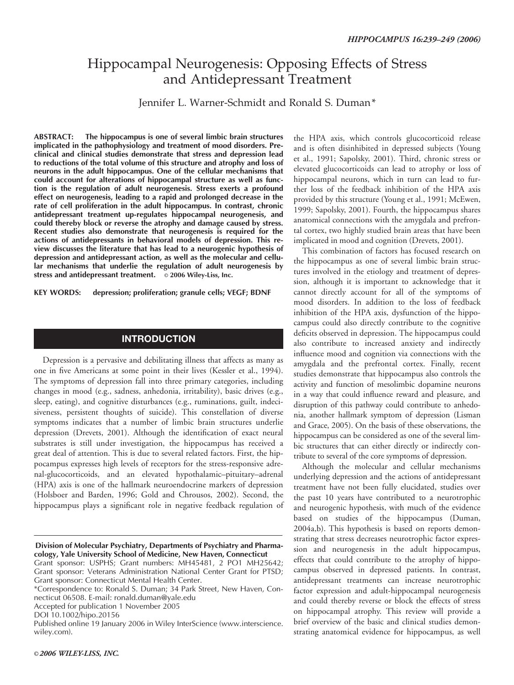# Hippocampal Neurogenesis: Opposing Effects of Stress and Antidepressant Treatment

Jennifer L. Warner-Schmidt and Ronald S. Duman \*

ABSTRACT: The hippocampus is one of several limbic brain structures implicated in the pathophysiology and treatment of mood disorders. Preclinical and clinical studies demonstrate that stress and depression lead to reductions of the total volume of this structure and atrophy and loss of neurons in the adult hippocampus. One of the cellular mechanisms that could account for alterations of hippocampal structure as well as function is the regulation of adult neurogenesis. Stress exerts a profound effect on neurogenesis, leading to a rapid and prolonged decrease in the rate of cell proliferation in the adult hippocampus. In contrast, chronic antidepressant treatment up-regulates hippocampal neurogenesis, and could thereby block or reverse the atrophy and damage caused by stress. Recent studies also demonstrate that neurogenesis is required for the actions of antidepressants in behavioral models of depression. This review discusses the literature that has lead to a neurogenic hypothesis of depression and antidepressant action, as well as the molecular and cellular mechanisms that underlie the regulation of adult neurogenesis by stress and antidepressant treatment.  $\circ$  2006 Wiley-Liss, Inc.

KEY WORDS: depression; proliferation; granule cells; VEGF; BDNF

# INTRODUCTION

Depression is a pervasive and debilitating illness that affects as many as one in five Americans at some point in their lives (Kessler et al., 1994). The symptoms of depression fall into three primary categories, including changes in mood (e.g., sadness, anhedonia, irritability), basic drives (e.g., sleep, eating), and cognitive disturbances (e.g., ruminations, guilt, indecisiveness, persistent thoughts of suicide). This constellation of diverse symptoms indicates that a number of limbic brain structures underlie depression (Drevets, 2001). Although the identification of exact neural substrates is still under investigation, the hippocampus has received a great deal of attention. This is due to several related factors. First, the hippocampus expresses high levels of receptors for the stress-responsive adrenal-glucocorticoids, and an elevated hypothalamic–pituitary–adrenal (HPA) axis is one of the hallmark neuroendocrine markers of depression (Holsboer and Barden, 1996; Gold and Chrousos, 2002). Second, the hippocampus plays a significant role in negative feedback regulation of

the HPA axis, which controls glucocorticoid release and is often disinhibited in depressed subjects (Young et al., 1991; Sapolsky, 2001). Third, chronic stress or elevated glucocorticoids can lead to atrophy or loss of hippocampal neurons, which in turn can lead to further loss of the feedback inhibition of the HPA axis provided by this structure (Young et al., 1991; McEwen, 1999; Sapolsky, 2001). Fourth, the hippocampus shares anatomical connections with the amygdala and prefrontal cortex, two highly studied brain areas that have been implicated in mood and cognition (Drevets, 2001).

This combination of factors has focused research on the hippocampus as one of several limbic brain structures involved in the etiology and treatment of depression, although it is important to acknowledge that it cannot directly account for all of the symptoms of mood disorders. In addition to the loss of feedback inhibition of the HPA axis, dysfunction of the hippocampus could also directly contribute to the cognitive deficits observed in depression. The hippocampus could also contribute to increased anxiety and indirectly influence mood and cognition via connections with the amygdala and the prefrontal cortex. Finally, recent studies demonstrate that hippocampus also controls the activity and function of mesolimbic dopamine neurons in a way that could influence reward and pleasure, and disruption of this pathway could contribute to anhedonia, another hallmark symptom of depression (Lisman and Grace, 2005). On the basis of these observations, the hippocampus can be considered as one of the several limbic structures that can either directly or indirectly contribute to several of the core symptoms of depression.

Although the molecular and cellular mechanisms underlying depression and the actions of antidepressant treatment have not been fully elucidated, studies over the past 10 years have contributed to a neurotrophic and neurogenic hypothesis, with much of the evidence based on studies of the hippocampus (Duman, 2004a,b). This hypothesis is based on reports demonstrating that stress decreases neurotrophic factor expression and neurogenesis in the adult hippocampus, effects that could contribute to the atrophy of hippocampus observed in depressed patients. In contrast, antidepressant treatments can increase neurotrophic factor expression and adult-hippocampal neurogenesis and could thereby reverse or block the effects of stress on hippocampal atrophy. This review will provide a brief overview of the basic and clinical studies demonstrating anatomical evidence for hippocampus, as well

Division of Molecular Psychiatry, Departments of Psychiatry and Pharmacology, Yale University School of Medicine, New Haven, Connecticut

Grant sponsor: USPHS; Grant numbers: MH45481, 2 PO1 MH25642; Grant sponsor: Veterans Administration National Center Grant for PTSD; Grant sponsor: Connecticut Mental Health Center.

<sup>\*</sup>Correspondence to: Ronald S. Duman; 34 Park Street, New Haven, Connecticut 06508. E-mail: ronald.duman@yale.edu

Accepted for publication 1 November 2005

DOI 10.1002/hipo.20156

Published online 19 January 2006 in Wiley InterScience (www.interscience. wiley.com).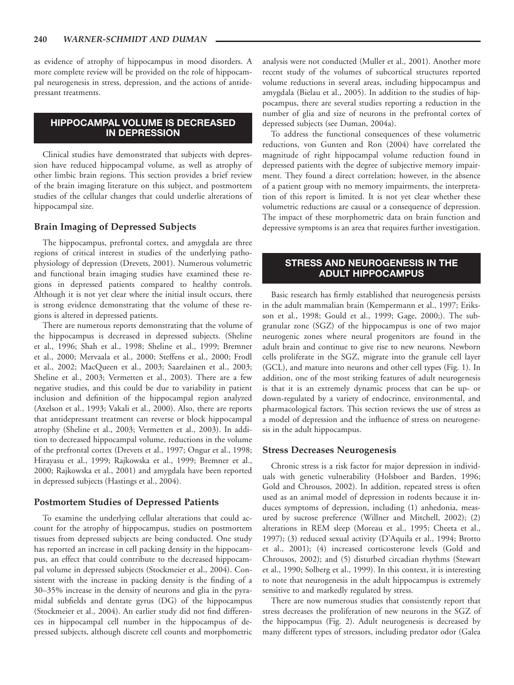as evidence of atrophy of hippocampus in mood disorders. A more complete review will be provided on the role of hippocampal neurogenesis in stress, depression, and the actions of antidepressant treatments.

#### HIPPOCAMPAL VOLUME IS DECREASED **IN DEPRESSION**

Clinical studies have demonstrated that subjects with depression have reduced hippocampal volume, as well as atrophy of other limbic brain regions. This section provides a brief review of the brain imaging literature on this subject, and postmortem studies of the cellular changes that could underlie alterations of hippocampal size.

#### Brain Imaging of Depressed Subjects

The hippocampus, prefrontal cortex, and amygdala are three regions of critical interest in studies of the underlying pathophysiology of depression (Drevets, 2001). Numerous volumetric and functional brain imaging studies have examined these regions in depressed patients compared to healthy controls. Although it is not yet clear where the initial insult occurs, there is strong evidence demonstrating that the volume of these regions is altered in depressed patients.

There are numerous reports demonstrating that the volume of the hippocampus is decreased in depressed subjects. (Sheline et al., 1996; Shah et al., 1998; Sheline et al., 1999; Bremner et al., 2000; Mervaala et al., 2000; Steffens et al., 2000; Frodl et al., 2002; MacQueen et al., 2003; Saarelainen et al., 2003; Sheline et al., 2003; Vermetten et al., 2003). There are a few negative studies, and this could be due to variability in patient inclusion and definition of the hippocampal region analyzed (Axelson et al., 1993; Vakali et al., 2000). Also, there are reports that antidepressant treatment can reverse or block hippocampal atrophy (Sheline et al., 2003; Vermetten et al., 2003). In addition to decreased hippocampal volume, reductions in the volume of the prefrontal cortex (Drevets et al., 1997; Ongur et al., 1998; Hirayasu et al., 1999; Rajkowska et al., 1999; Bremner et al., 2000; Rajkowska et al., 2001) and amygdala have been reported in depressed subjects (Hastings et al., 2004).

#### Postmortem Studies of Depressed Patients

To examine the underlying cellular alterations that could account for the atrophy of hippocampus, studies on postmortem tissues from depressed subjects are being conducted. One study has reported an increase in cell packing density in the hippocampus, an effect that could contribute to the decreased hippocampal volume in depressed subjects (Stockmeier et al., 2004). Consistent with the increase in packing density is the finding of a 30–35% increase in the density of neurons and glia in the pyramidal subfields and dentate gyrus (DG) of the hippocampus (Stockmeier et al., 2004). An earlier study did not find differences in hippocampal cell number in the hippocampus of depressed subjects, although discrete cell counts and morphometric analysis were not conducted (Muller et al., 2001). Another more recent study of the volumes of subcortical structures reported volume reductions in several areas, including hippocampus and amygdala (Bielau et al., 2005). In addition to the studies of hippocampus, there are several studies reporting a reduction in the number of glia and size of neurons in the prefrontal cortex of depressed subjects (see Duman, 2004a).

To address the functional consequences of these volumetric reductions, von Gunten and Ron (2004) have correlated the magnitude of right hippocampal volume reduction found in depressed patients with the degree of subjective memory impairment. They found a direct correlation; however, in the absence of a patient group with no memory impairments, the interpretation of this report is limited. It is not yet clear whether these volumetric reductions are causal or a consequence of depression. The impact of these morphometric data on brain function and depressive symptoms is an area that requires further investigation.

# STRESS AND NEUROGENESIS IN THE ADULT HIPPOCAMPUS

Basic research has firmly established that neurogenesis persists in the adult mammalian brain (Kempermann et al., 1997; Eriksson et al., 1998; Gould et al., 1999; Gage, 2000;). The subgranular zone (SGZ) of the hippocampus is one of two major neurogenic zones where neural progenitors are found in the adult brain and continue to give rise to new neurons. Newborn cells proliferate in the SGZ, migrate into the granule cell layer (GCL), and mature into neurons and other cell types (Fig. 1). In addition, one of the most striking features of adult neurogenesis is that it is an extremely dynamic process that can be up- or down-regulated by a variety of endocrince, environmental, and pharmacological factors. This section reviews the use of stress as a model of depression and the influence of stress on neurogenesis in the adult hippocampus.

#### Stress Decreases Neurogenesis

Chronic stress is a risk factor for major depression in individuals with genetic vulnerability (Holsboer and Barden, 1996; Gold and Chrousos, 2002). In addition, repeated stress is often used as an animal model of depression in rodents because it induces symptoms of depression, including (1) anhedonia, measured by sucrose preference (Willner and Mitchell, 2002); (2) alterations in REM sleep (Moreau et al., 1995; Cheeta et al., 1997); (3) reduced sexual activity (D'Aquila et al., 1994; Brotto et al., 2001); (4) increased corticosterone levels (Gold and Chrousos, 2002); and (5) disturbed circadian rhythms (Stewart et al., 1990; Solberg et al., 1999). In this context, it is interesting to note that neurogenesis in the adult hippocampus is extremely sensitive to and markedly regulated by stress.

There are now numerous studies that consistently report that stress decreases the proliferation of new neurons in the SGZ of the hippocampus (Fig. 2). Adult neurogenesis is decreased by many different types of stressors, including predator odor (Galea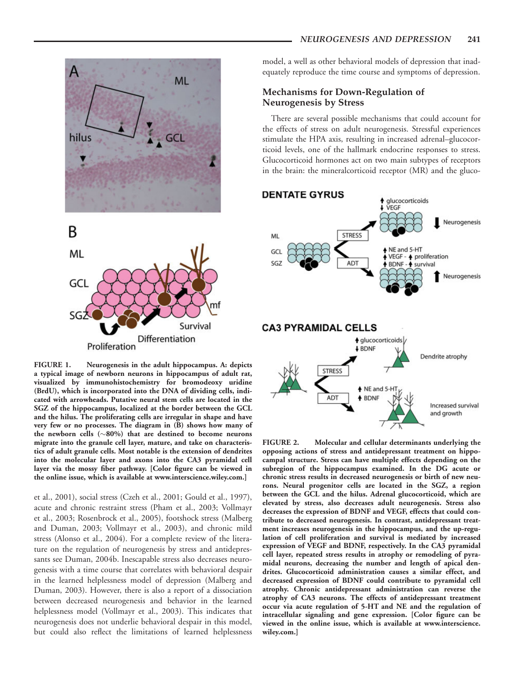

FIGURE 1. Neurogenesis in the adult hippocampus. A: depicts a typical image of newborn neurons in hippocampus of adult rat, visualized by immunohistochemistry for bromodeoxy uridine (BrdU), which is incorporated into the DNA of dividing cells, indicated with arrowheads. Putative neural stem cells are located in the SGZ of the hippocampus, localized at the border between the GCL and the hilus. The proliferating cells are irregular in shape and have very few or no processes. The diagram in (B) shows how many of the newborn cells  $(\sim 80\%)$  that are destined to become neurons migrate into the granule cell layer, mature, and take on characteristics of adult granule cells. Most notable is the extension of dendrites into the molecular layer and axons into the CA3 pyramidal cell layer via the mossy fiber pathway. [Color figure can be viewed in the online issue, which is available at www.interscience.wiley.com.]

et al., 2001), social stress (Czeh et al., 2001; Gould et al., 1997), acute and chronic restraint stress (Pham et al., 2003; Vollmayr et al., 2003; Rosenbrock et al., 2005), footshock stress (Malberg and Duman, 2003; Vollmayr et al., 2003), and chronic mild stress (Alonso et al., 2004). For a complete review of the literature on the regulation of neurogenesis by stress and antidepressants see Duman, 2004b. Inescapable stress also decreases neurogenesis with a time course that correlates with behavioral despair in the learned helplessness model of depression (Malberg and Duman, 2003). However, there is also a report of a dissociation between decreased neurogenesis and behavior in the learned helplessness model (Vollmayr et al., 2003). This indicates that neurogenesis does not underlie behavioral despair in this model, but could also reflect the limitations of learned helplessness

model, a well as other behavioral models of depression that inadequately reproduce the time course and symptoms of depression.

#### Mechanisms for Down-Regulation of Neurogenesis by Stress

There are several possible mechanisms that could account for the effects of stress on adult neurogenesis. Stressful experiences stimulate the HPA axis, resulting in increased adrenal–glucocorticoid levels, one of the hallmark endocrine responses to stress. Glucocorticoid hormones act on two main subtypes of receptors in the brain: the mineralcorticoid receptor (MR) and the gluco-



FIGURE 2. Molecular and cellular determinants underlying the opposing actions of stress and antidepressant treatment on hippocampal structure. Stress can have multiple effects depending on the subregion of the hippocampus examined. In the DG acute or chronic stress results in decreased neurogenesis or birth of new neurons. Neural progenitor cells are located in the SGZ, a region between the GCL and the hilus. Adrenal glucocorticoid, which are elevated by stress, also decreases adult neurogenesis. Stress also decreases the expression of BDNF and VEGF, effects that could contribute to decreased neurogenesis. In contrast, antidepressant treatment increases neurogenesis in the hippocampus, and the up-regulation of cell proliferation and survival is mediated by increased expression of VEGF and BDNF, respectively. In the CA3 pyramidal cell layer, repeated stress results in atrophy or remodeling of pyramidal neurons, decreasing the number and length of apical dendrites. Glucocorticoid administration causes a similar effect, and decreased expression of BDNF could contribute to pyramidal cell atrophy. Chronic antidepressant administration can reverse the atrophy of CA3 neurons. The effects of antidepressant treatment occur via acute regulation of 5-HT and NE and the regulation of intracellular signaling and gene expression. [Color figure can be viewed in the online issue, which is available at www.interscience. wiley.com.]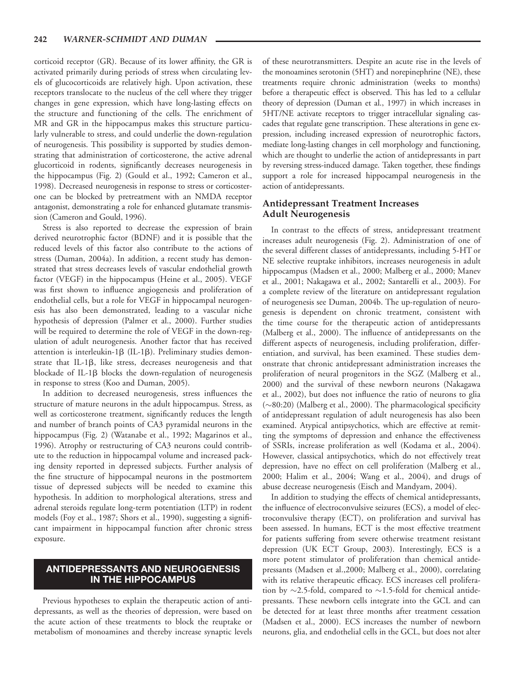corticoid receptor (GR). Because of its lower affinity, the GR is activated primarily during periods of stress when circulating levels of glucocorticoids are relatively high. Upon activation, these receptors translocate to the nucleus of the cell where they trigger changes in gene expression, which have long-lasting effects on the structure and functioning of the cells. The enrichment of MR and GR in the hippocampus makes this structure particularly vulnerable to stress, and could underlie the down-regulation of neurogenesis. This possibility is supported by studies demonstrating that administration of corticosterone, the active adrenal glucorticoid in rodents, significantly decreases neurogenesis in the hippocampus (Fig. 2) (Gould et al., 1992; Cameron et al., 1998). Decreased neurogenesis in response to stress or corticosterone can be blocked by pretreatment with an NMDA receptor antagonist, demonstrating a role for enhanced glutamate transmission (Cameron and Gould, 1996).

Stress is also reported to decrease the expression of brain derived neurotrophic factor (BDNF) and it is possible that the reduced levels of this factor also contribute to the actions of stress (Duman, 2004a). In addition, a recent study has demonstrated that stress decreases levels of vascular endothelial growth factor (VEGF) in the hippocampus (Heine et al., 2005). VEGF was first shown to influence angiogenesis and proliferation of endothelial cells, but a role for VEGF in hippocampal neurogenesis has also been demonstrated, leading to a vascular niche hypothesis of depression (Palmer et al., 2000). Further studies will be required to determine the role of VEGF in the down-regulation of adult neurogenesis. Another factor that has received attention is interleukin-1 $\beta$  (IL-1 $\beta$ ). Preliminary studies demonstrate that IL-1 $\beta$ , like stress, decreases neurogenesis and that blockade of IL-1 $\beta$  blocks the down-regulation of neurogenesis in response to stress (Koo and Duman, 2005).

In addition to decreased neurogenesis, stress influences the structure of mature neurons in the adult hippocampus. Stress, as well as corticosterone treatment, significantly reduces the length and number of branch points of CA3 pyramidal neurons in the hippocampus (Fig. 2) (Watanabe et al., 1992; Magarinos et al., 1996). Atrophy or restructuring of CA3 neurons could contribute to the reduction in hippocampal volume and increased packing density reported in depressed subjects. Further analysis of the fine structure of hippocampal neurons in the postmortem tissue of depressed subjects will be needed to examine this hypothesis. In addition to morphological alterations, stress and adrenal steroids regulate long-term potentiation (LTP) in rodent models (Foy et al., 1987; Shors et al., 1990), suggesting a significant impairment in hippocampal function after chronic stress exposure.

# ANTIDEPRESSANTS AND NEUROGENESIS IN THE HIPPOCAMPUS

Previous hypotheses to explain the therapeutic action of antidepressants, as well as the theories of depression, were based on the acute action of these treatments to block the reuptake or metabolism of monoamines and thereby increase synaptic levels of these neurotransmitters. Despite an acute rise in the levels of the monoamines serotonin (5HT) and norepinephrine (NE), these treatments require chronic administration (weeks to months) before a therapeutic effect is observed. This has led to a cellular theory of depression (Duman et al., 1997) in which increases in 5HT/NE activate receptors to trigger intracellular signaling cascades that regulate gene transcription. These alterations in gene expression, including increased expression of neurotrophic factors, mediate long-lasting changes in cell morphology and functioning, which are thought to underlie the action of antidepressants in part by reversing stress-induced damage. Taken together, these findings support a role for increased hippocampal neurogenesis in the action of antidepressants.

## Antidepressant Treatment Increases Adult Neurogenesis

In contrast to the effects of stress, antidepressant treatment increases adult neurogenesis (Fig. 2). Administration of one of the several different classes of antidepressants, including 5-HT or NE selective reuptake inhibitors, increases neurogenesis in adult hippocampus (Madsen et al., 2000; Malberg et al., 2000; Manev et al., 2001; Nakagawa et al., 2002; Santarelli et al., 2003). For a complete review of the literature on antidepressant regulation of neurogenesis see Duman, 2004b. The up-regulation of neurogenesis is dependent on chronic treatment, consistent with the time course for the therapeutic action of antidepressants (Malberg et al., 2000). The influence of antidepressants on the different aspects of neurogenesis, including proliferation, differentiation, and survival, has been examined. These studies demonstrate that chronic antidepressant administration increases the proliferation of neural progenitors in the SGZ (Malberg et al., 2000) and the survival of these newborn neurons (Nakagawa et al., 2002), but does not influence the ratio of neurons to glia  $(\sim80:20)$  (Malberg et al., 2000). The pharmacological specificity of antidepressant regulation of adult neurogenesis has also been examined. Atypical antipsychotics, which are effective at remitting the symptoms of depression and enhance the effectiveness of SSRIs, increase proliferation as well (Kodama et al., 2004). However, classical antipsychotics, which do not effectively treat depression, have no effect on cell proliferation (Malberg et al., 2000; Halim et al., 2004; Wang et al., 2004), and drugs of abuse decrease neurogenesis (Eisch and Mandyam, 2004).

In addition to studying the effects of chemical antidepressants, the influence of electroconvulsive seizures (ECS), a model of electroconvulsive therapy (ECT), on proliferation and survival has been assessed. In humans, ECT is the most effective treatment for patients suffering from severe otherwise treatment resistant depression (UK ECT Group, 2003). Interestingly, ECS is a more potent stimulator of proliferation than chemical antidepressants (Madsen et al.,2000; Malberg et al., 2000), correlating with its relative therapeutic efficacy. ECS increases cell proliferation by  $\sim$ 2.5-fold, compared to  $\sim$ 1.5-fold for chemical antidepressants. These newborn cells integrate into the GCL and can be detected for at least three months after treatment cessation (Madsen et al., 2000). ECS increases the number of newborn neurons, glia, and endothelial cells in the GCL, but does not alter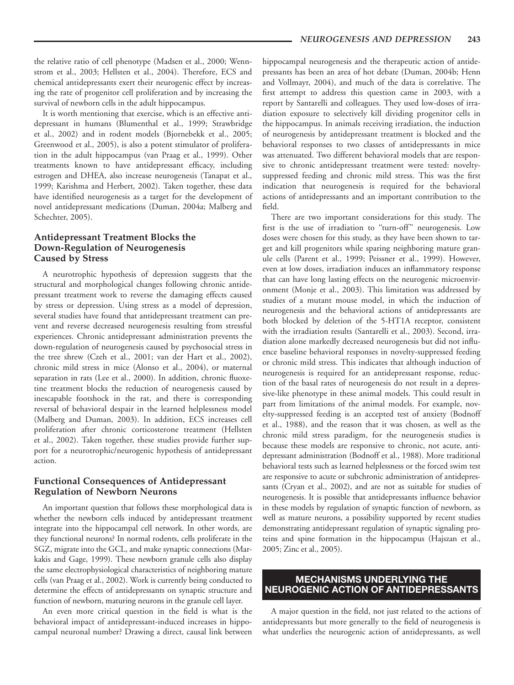the relative ratio of cell phenotype (Madsen et al., 2000; Wennstrom et al., 2003; Hellsten et al., 2004). Therefore, ECS and chemical antidepressants exert their neurogenic effect by increasing the rate of progenitor cell proliferation and by increasing the survival of newborn cells in the adult hippocampus.

It is worth mentioning that exercise, which is an effective antidepressant in humans (Blumenthal et al., 1999; Strawbridge et al., 2002) and in rodent models (Bjornebekk et al., 2005; Greenwood et al., 2005), is also a potent stimulator of proliferation in the adult hippocampus (van Praag et al., 1999). Other treatments known to have antidepressant efficacy, including estrogen and DHEA, also increase neurogenesis (Tanapat et al., 1999; Karishma and Herbert, 2002). Taken together, these data have identified neurogenesis as a target for the development of novel antidepressant medications (Duman, 2004a; Malberg and Schechter, 2005).

## Antidepressant Treatment Blocks the Down-Regulation of Neurogenesis Caused by Stress

A neurotrophic hypothesis of depression suggests that the structural and morphological changes following chronic antidepressant treatment work to reverse the damaging effects caused by stress or depression. Using stress as a model of depression, several studies have found that antidepressant treatment can prevent and reverse decreased neurogenesis resulting from stressful experiences. Chronic antidepressant administration prevents the down-regulation of neurogenesis caused by psychosocial stress in the tree shrew (Czeh et al., 2001; van der Hart et al., 2002), chronic mild stress in mice (Alonso et al., 2004), or maternal separation in rats (Lee et al., 2000). In addition, chronic fluoxetine treatment blocks the reduction of neurogenesis caused by inescapable footshock in the rat, and there is corresponding reversal of behavioral despair in the learned helplessness model (Malberg and Duman, 2003). In addition, ECS increases cell proliferation after chronic corticosterone treatment (Hellsten et al., 2002). Taken together, these studies provide further support for a neurotrophic/neurogenic hypothesis of antidepressant action.

#### Functional Consequences of Antidepressant Regulation of Newborn Neurons

An important question that follows these morphological data is whether the newborn cells induced by antidepressant treatment integrate into the hippocampal cell network. In other words, are they functional neurons? In normal rodents, cells proliferate in the SGZ, migrate into the GCL, and make synaptic connections (Markakis and Gage, 1999). These newborn granule cells also display the same electrophysiological characteristics of neighboring mature cells (van Praag et al., 2002). Work is currently being conducted to determine the effects of antidepressants on synaptic structure and function of newborn, maturing neurons in the granule cell layer.

An even more critical question in the field is what is the behavioral impact of antidepressant-induced increases in hippocampal neuronal number? Drawing a direct, causal link between hippocampal neurogenesis and the therapeutic action of antidepressants has been an area of hot debate (Duman, 2004b; Henn and Vollmayr, 2004), and much of the data is correlative. The first attempt to address this question came in 2003, with a report by Santarelli and colleagues. They used low-doses of irradiation exposure to selectively kill dividing progenitor cells in the hippocampus. In animals receiving irradiation, the induction of neurogenesis by antidepressant treatment is blocked and the behavioral responses to two classes of antidepressants in mice was attenuated. Two different behavioral models that are responsive to chronic antidepressant treatment were tested: noveltysuppressed feeding and chronic mild stress. This was the first indication that neurogenesis is required for the behavioral actions of antidepressants and an important contribution to the field.

There are two important considerations for this study. The first is the use of irradiation to ''turn-off'' neurogenesis. Low doses were chosen for this study, as they have been shown to target and kill progenitors while sparing neighboring mature granule cells (Parent et al., 1999; Peissner et al., 1999). However, even at low doses, irradiation induces an inflammatory response that can have long lasting effects on the neurogenic microenvironment (Monje et al., 2003). This limitation was addressed by studies of a mutant mouse model, in which the induction of neurogenesis and the behavioral actions of antidepressants are both blocked by deletion of the 5-HT1A receptor, consistent with the irradiation results (Santarelli et al., 2003). Second, irradiation alone markedly decreased neurogenesis but did not influence baseline behavioral responses in novelty-suppressed feeding or chronic mild stress. This indicates that although induction of neurogenesis is required for an antidepressant response, reduction of the basal rates of neurogenesis do not result in a depressive-like phenotype in these animal models. This could result in part from limitations of the animal models. For example, novelty-suppressed feeding is an accepted test of anxiety (Bodnoff et al., 1988), and the reason that it was chosen, as well as the chronic mild stress paradigm, for the neurogenesis studies is because these models are responsive to chronic, not acute, antidepressant administration (Bodnoff et al., 1988). More traditional behavioral tests such as learned helplessness or the forced swim test are responsive to acute or subchronic administration of antidepressants (Cryan et al., 2002), and are not as suitable for studies of neurogenesis. It is possible that antidepressants influence behavior in these models by regulation of synaptic function of newborn, as well as mature neurons, a possibility supported by recent studies demonstrating antidepressant regulation of synaptic signaling proteins and spine formation in the hippocampus (Hajszan et al., 2005; Zinc et al., 2005).

# MECHANISMS UNDERLYING THE NEUROGENIC ACTION OF ANTIDEPRESSANTS

A major question in the field, not just related to the actions of antidepressants but more generally to the field of neurogenesis is what underlies the neurogenic action of antidepressants, as well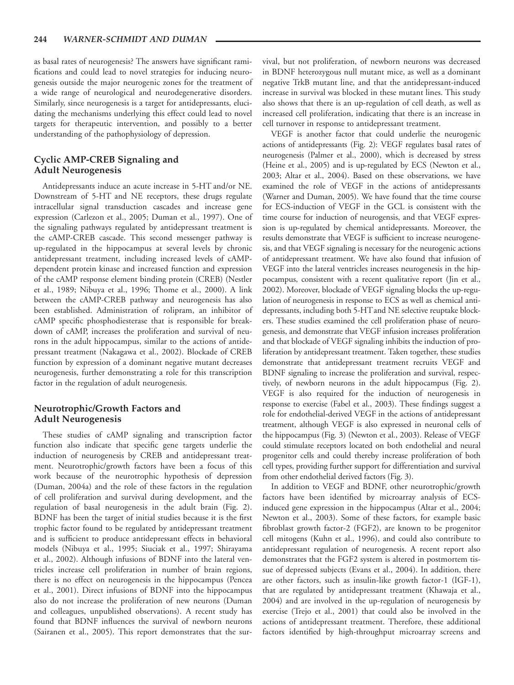as basal rates of neurogenesis? The answers have significant ramifications and could lead to novel strategies for inducing neurogenesis outside the major neurogenic zones for the treatment of a wide range of neurological and neurodegenerative disorders. Similarly, since neurogenesis is a target for antidepressants, elucidating the mechanisms underlying this effect could lead to novel targets for therapeutic intervention, and possibly to a better understanding of the pathophysiology of depression.

#### Cyclic AMP-CREB Signaling and Adult Neurogenesis

Antidepressants induce an acute increase in 5-HT and/or NE. Downstream of 5-HT and NE receptors, these drugs regulate intracellular signal transduction cascades and increase gene expression (Carlezon et al., 2005; Duman et al., 1997). One of the signaling pathways regulated by antidepressant treatment is the cAMP-CREB cascade. This second messenger pathway is up-regulated in the hippocampus at several levels by chronic antidepressant treatment, including increased levels of cAMPdependent protein kinase and increased function and expression of the cAMP response element binding protein (CREB) (Nestler et al., 1989; Nibuya et al., 1996; Thome et al., 2000). A link between the cAMP-CREB pathway and neurogenesis has also been established. Administration of rolipram, an inhibitor of cAMP specific phosphodiesterase that is responsible for breakdown of cAMP, increases the proliferation and survival of neurons in the adult hippocampus, similar to the actions of antidepressant treatment (Nakagawa et al., 2002). Blockade of CREB function by expression of a dominant negative mutant decreases neurogenesis, further demonstrating a role for this transcription factor in the regulation of adult neurogenesis.

## Neurotrophic/Growth Factors and Adult Neurogenesis

These studies of cAMP signaling and transcription factor function also indicate that specific gene targets underlie the induction of neurogenesis by CREB and antidepressant treatment. Neurotrophic/growth factors have been a focus of this work because of the neurotrophic hypothesis of depression (Duman, 2004a) and the role of these factors in the regulation of cell proliferation and survival during development, and the regulation of basal neurogenesis in the adult brain (Fig. 2). BDNF has been the target of initial studies because it is the first trophic factor found to be regulated by antidepressant treatment and is sufficient to produce antidepressant effects in behavioral models (Nibuya et al., 1995; Siuciak et al., 1997; Shirayama et al., 2002). Although infusions of BDNF into the lateral ventricles increase cell proliferation in number of brain regions, there is no effect on neurogenesis in the hippocampus (Pencea et al., 2001). Direct infusions of BDNF into the hippocampus also do not increase the proliferation of new neurons (Duman and colleagues, unpublished observations). A recent study has found that BDNF influences the survival of newborn neurons (Sairanen et al., 2005). This report demonstrates that the survival, but not proliferation, of newborn neurons was decreased in BDNF heterozygous null mutant mice, as well as a dominant negative TrkB mutant line, and that the antidepressant-induced increase in survival was blocked in these mutant lines. This study also shows that there is an up-regulation of cell death, as well as increased cell proliferation, indicating that there is an increase in cell turnover in response to antidepressant treatment.

VEGF is another factor that could underlie the neurogenic actions of antidepressants (Fig. 2): VEGF regulates basal rates of neurogenesis (Palmer et al., 2000), which is decreased by stress (Heine et al., 2005) and is up-regulated by ECS (Newton et al., 2003; Altar et al., 2004). Based on these observations, we have examined the role of VEGF in the actions of antidepressants (Warner and Duman, 2005). We have found that the time course for ECS-induction of VEGF in the GCL is consistent with the time course for induction of neurogensis, and that VEGF expression is up-regulated by chemical antidepressants. Moreover, the results demonstrate that VEGF is sufficient to increase neurogenesis, and that VEGF signaling is necessary for the neurogenic actions of antidepressant treatment. We have also found that infusion of VEGF into the lateral ventricles increases neurogenesis in the hippocampus, consistent with a recent qualitative report (Jin et al., 2002). Moreover, blockade of VEGF signaling blocks the up-regulation of neurogenesis in response to ECS as well as chemical antidepressants, including both 5-HT and NE selective reuptake blockers. These studies examined the cell proliferation phase of neurogenesis, and demonstrate that VEGF infusion increases proliferation and that blockade of VEGF signaling inhibits the induction of proliferation by antidepressant treatment. Taken together, these studies demonstrate that antidepressant treatment recruits VEGF and BDNF signaling to increase the proliferation and survival, respectively, of newborn neurons in the adult hippocampus (Fig. 2). VEGF is also required for the induction of neurogenesis in response to exercise (Fabel et al., 2003). These findings suggest a role for endothelial-derived VEGF in the actions of antidepressant treatment, although VEGF is also expressed in neuronal cells of the hippocampus (Fig. 3) (Newton et al., 2003). Release of VEGF could stimulate receptors located on both endothelial and neural progenitor cells and could thereby increase proliferation of both cell types, providing further support for differentiation and survival from other endothelial derived factors (Fig. 3).

In addition to VEGF and BDNF, other neurotrophic/growth factors have been identified by microarray analysis of ECSinduced gene expression in the hippocampus (Altar et al., 2004; Newton et al., 2003). Some of these factors, for example basic fibroblast growth factor-2 (FGF2), are known to be progenitor cell mitogens (Kuhn et al., 1996), and could also contribute to antidepressant regulation of neurogenesis. A recent report also demonstrates that the FGF2 system is altered in postmortem tissue of depressed subjects (Evans et al., 2004). In addition, there are other factors, such as insulin-like growth factor-1 (IGF-1), that are regulated by antidepressant treatment (Khawaja et al., 2004) and are involved in the up-regulation of neurogenesis by exercise (Trejo et al., 2001) that could also be involved in the actions of antidepressant treatment. Therefore, these additional factors identified by high-throughput microarray screens and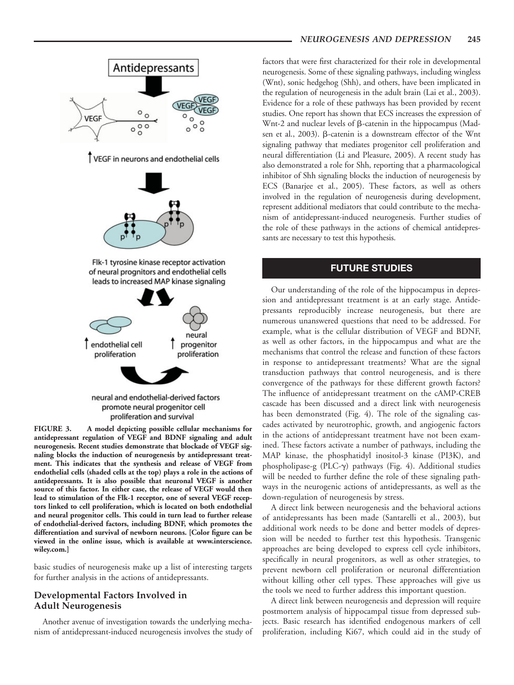

FIGURE 3. A model depicting possible cellular mechanisms for antidepressant regulation of VEGF and BDNF signaling and adult neurogenesis. Recent studies demonstrate that blockade of VEGF signaling blocks the induction of neurogenesis by antidepressant treatment. This indicates that the synthesis and release of VEGF from endothelial cells (shaded cells at the top) plays a role in the actions of antidepressants. It is also possible that neuronal VEGF is another source of this factor. In either case, the release of VEGF would then lead to stimulation of the Flk-1 receptor, one of several VEGF receptors linked to cell proliferation, which is located on both endothelial and neural progenitor cells. This could in turn lead to further release of endothelial-derived factors, including BDNF, which promotes the differentiation and survival of newborn neurons. [Color figure can be viewed in the online issue, which is available at www.interscience. wiley.com.]

basic studies of neurogenesis make up a list of interesting targets for further analysis in the actions of antidepressants.

## Developmental Factors Involved in Adult Neurogenesis

Another avenue of investigation towards the underlying mechanism of antidepressant-induced neurogenesis involves the study of factors that were first characterized for their role in developmental neurogenesis. Some of these signaling pathways, including wingless (Wnt), sonic hedgehog (Shh), and others, have been implicated in the regulation of neurogenesis in the adult brain (Lai et al., 2003). Evidence for a role of these pathways has been provided by recent studies. One report has shown that ECS increases the expression of Wnt-2 and nuclear levels of  $\beta$ -catenin in the hippocampus (Madsen et al., 2003). B-catenin is a downstream effector of the Wnt signaling pathway that mediates progenitor cell proliferation and neural differentiation (Li and Pleasure, 2005). A recent study has also demonstrated a role for Shh, reporting that a pharmacological inhibitor of Shh signaling blocks the induction of neurogenesis by ECS (Banarjee et al., 2005). These factors, as well as others involved in the regulation of neurogenesis during development, represent additional mediators that could contribute to the mechanism of antidepressant-induced neurogenesis. Further studies of the role of these pathways in the actions of chemical antidepressants are necessary to test this hypothesis.

# FUTURE STUDIES

Our understanding of the role of the hippocampus in depression and antidepressant treatment is at an early stage. Antidepressants reproducibly increase neurogenesis, but there are numerous unanswered questions that need to be addressed. For example, what is the cellular distribution of VEGF and BDNF, as well as other factors, in the hippocampus and what are the mechanisms that control the release and function of these factors in response to antidepressant treatments? What are the signal transduction pathways that control neurogenesis, and is there convergence of the pathways for these different growth factors? The influence of antidepressant treatment on the cAMP-CREB cascade has been discussed and a direct link with neurogenesis has been demonstrated (Fig. 4). The role of the signaling cascades activated by neurotrophic, growth, and angiogenic factors in the actions of antidepressant treatment have not been examined. These factors activate a number of pathways, including the MAP kinase, the phosphatidyl inositol-3 kinase (PI3K), and phospholipase-g (PLC-g) pathways (Fig. 4). Additional studies will be needed to further define the role of these signaling pathways in the neurogenic actions of antidepressants, as well as the down-regulation of neurogenesis by stress.

A direct link between neurogenesis and the behavioral actions of antidepressants has been made (Santarelli et al., 2003), but additional work needs to be done and better models of depression will be needed to further test this hypothesis. Transgenic approaches are being developed to express cell cycle inhibitors, specifically in neural progenitors, as well as other strategies, to prevent newborn cell proliferation or neuronal differentiation without killing other cell types. These approaches will give us the tools we need to further address this important question.

A direct link between neurogenesis and depression will require postmortem analysis of hippocampal tissue from depressed subjects. Basic research has identified endogenous markers of cell proliferation, including Ki67, which could aid in the study of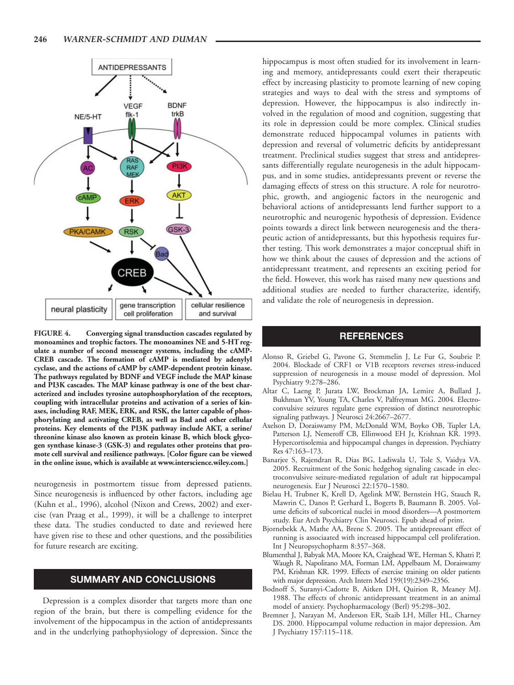

FIGURE 4. Converging signal transduction cascades regulated by monoamines and trophic factors. The monoamines NE and 5-HT regulate a number of second messenger systems, including the cAMP-CREB cascade. The formation of cAMP is mediated by adenylyl cyclase, and the actions of cAMP by cAMP-dependent protein kinase. The pathways regulated by BDNF and VEGF include the MAP kinase and PI3K cascades. The MAP kinase pathway is one of the best characterized and includes tyrosine autophosphorylation of the receptors, coupling with intracellular proteins and activation of a series of kinases, including RAF, MEK, ERK, and RSK, the latter capable of phosphorylating and activating CREB, as well as Bad and other cellular proteins. Key elements of the PI3K pathway include AKT, a serine/ threonine kinase also known as protein kinase B, which block glycogen synthase kinase-3 (GSK-3) and regulates other proteins that promote cell survival and resilience pathways. [Color figure can be viewed in the online issue, which is available at www.interscience.wiley.com.]

neurogenesis in postmortem tissue from depressed patients. Since neurogenesis is influenced by other factors, including age (Kuhn et al., 1996), alcohol (Nixon and Crews, 2002) and exercise (van Praag et al., 1999), it will be a challenge to interpret these data. The studies conducted to date and reviewed here have given rise to these and other questions, and the possibilities for future research are exciting.

## SUMMARY AND CONCLUSIONS

Depression is a complex disorder that targets more than one region of the brain, but there is compelling evidence for the involvement of the hippocampus in the action of antidepressants and in the underlying pathophysiology of depression. Since the

hippocampus is most often studied for its involvement in learning and memory, antidepressants could exert their therapeutic effect by increasing plasticity to promote learning of new coping strategies and ways to deal with the stress and symptoms of depression. However, the hippocampus is also indirectly involved in the regulation of mood and cognition, suggesting that its role in depression could be more complex. Clinical studies demonstrate reduced hippocampal volumes in patients with depression and reversal of volumetric deficits by antidepressant treatment. Preclinical studies suggest that stress and antidepressants differentially regulate neurogenesis in the adult hippocampus, and in some studies, antidepressants prevent or reverse the damaging effects of stress on this structure. A role for neurotrophic, growth, and angiogenic factors in the neurogenic and behavioral actions of antidepressants lend further support to a neurotrophic and neurogenic hypothesis of depression. Evidence points towards a direct link between neurogenesis and the therapeutic action of antidepressants, but this hypothesis requires further testing. This work demonstrates a major conceptual shift in how we think about the causes of depression and the actions of antidepressant treatment, and represents an exciting period for the field. However, this work has raised many new questions and additional studies are needed to further characterize, identify, and validate the role of neurogenesis in depression.

## **REFERENCES**

- Alonso R, Griebel G, Pavone G, Stemmelin J, Le Fur G, Soubrie P. 2004. Blockade of CRF1 or V1B receptors reverses stress-induced suppression of neurogenesis in a mouse model of depression. Mol Psychiatry 9:278–286.
- Altar C, Laeng P, Jurata LW, Brockman JA, Lemire A, Bullard J, Bukhman YV, Young TA, Charles V, Palfreyman MG. 2004. Electroconvulsive seizures regulate gene expression of distinct neurotrophic signaling pathways. J Neurosci 24:2667–2677.
- Axelson D, Doraiswamy PM, McDonald WM, Boyko OB, Tupler LA, Patterson LJ, Nemeroff CB, Ellinwood EH Jr, Krishnan KR. 1993. Hypercortisolemia and hippocampal changes in depression. Psychiatry Res 47:163–173.
- Banarjee S, Rajendran R, Dias BG, Ladiwala U, Tole S, Vaidya VA. 2005. Recruitment of the Sonic hedgehog signaling cascade in electroconvulsive seizure-mediated regulation of adult rat hippocampal neurogenesis. Eur J Neurosci 22:1570–1580.
- Bielau H, Trubner K, Krell D, Agelink MW, Bernstein HG, Stauch R, Mawrin C, Danos P, Gerhard L, Bogerts B, Baumann B. 2005. Volume deficits of subcortical nuclei in mood disorders—A postmortem study. Eur Arch Psychiatry Clin Neurosci. Epub ahead of print.
- Bjornebekk A, Mathe AA, Brene S. 2005. The antidepressant effect of running is associaated with increased hippocampal cell proliferation. Int J Neuropsychopharm 8:357–368.
- Blumenthal J, Babyak MA, Moore KA, Craighead WE, Herman S, Khatri P, Waugh R, Napolitano MA, Forman LM, Appelbaum M, Doraiswamy PM, Krishnan KR. 1999. Effects of exercise training on older patients with major depression. Arch Intern Med 159(19):2349–2356.
- Bodnoff S, Suranyi-Cadotte B, Aitken DH, Quirion R, Meaney MJ. 1988. The effects of chronic antidepressant treatment in an animal model of anxiety. Psychopharmacology (Berl) 95:298–302.
- Bremner J, Narayan M, Anderson ER, Staib LH, Miller HL, Charney DS. 2000. Hippocampal volume reduction in major depression. Am J Psychiatry 157:115–118.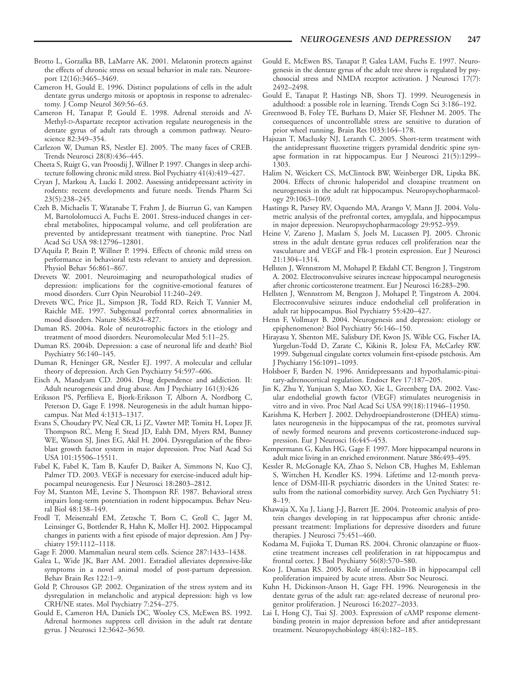- Brotto L, Gorzalka BB, LaMarre AK. 2001. Melatonin protects against the effects of chronic stress on sexual behavior in male rats. Neuroreport 12(16):3465–3469.
- Cameron H, Gould E. 1996. Distinct populations of cells in the adult dentate gyrus undergo mitosis or apoptosis in response to adrenalectomy. J Comp Neurol 369:56–63.
- Cameron H, Tanapat P, Gould E. 1998. Adrenal steroids and N-Methyl-D-Aspartate receptor activation regulate neurogenesis in the dentate gyrus of adult rats through a common pathway. Neuroscience 82:349–354.
- Carlezon W, Duman RS, Nestler EJ. 2005. The many faces of CREB. Trends Neurosci 28(8):436–445.
- Cheeta S, Ruigt G, van Proosdij J, Willner P. 1997. Changes in sleep architecture following chronic mild stress. Biol Psychiatry 41(4):419–427.
- Cryan J, Markou A, Lucki I. 2002. Assessing antidepressant activity in rodents: recent developments and future needs. Trends Pharm Sci 23(5):238–245.
- Czeh B, Michaelis T, Watanabe T, Frahm J, de Biurrun G, van Kampen M, Bartololomucci A, Fuchs E. 2001. Stress-induced changes in cerebral metabolites, hippocampal volume, and cell proliferation are prevented by antidepressant treatment with tianeptine. Proc Natl Acad Sci USA 98:12796–12801.
- D'Aquila P, Brain P, Willner P. 1994. Effects of chronic mild stress on performance in behavioral tests relevant to anxiety and depression. Physiol Behav 56:861–867.
- Drevets W. 2001. Neuroimaging and neuropathological studies of depression: implications for the cognitive-emotional features of mood disorders. Curr Opin Neurobiol 11:240–249.
- Drevets WC, Price JL, Simpson JR, Todd RD, Reich T, Vannier M, Raichle ME. 1997. Subgenual prefrontal cortex abnormalities in mood disorders. Nature 386:824–827.
- Duman RS. 2004a. Role of neurotrophic factors in the etiology and treatment of mood disorders. Neuromolecular Med 5:11–25.
- Duman RS. 2004b. Depression: a case of neuronal life and death? Biol Psychiatry 56:140–145.
- Duman R, Heninger GR, Nestler EJ. 1997. A molecular and cellular theory of depression. Arch Gen Psychiatry 54:597–606.
- Eisch A, Mandyam CD. 2004. Drug dependence and addiction. II: Adult neurogenesis and drug abuse. Am J Psychiatry 161(3):426
- Eriksson PS, Perfilieva E, Bjork-Eriksson T, Alborn A, Nordborg C, Peterson D, Gage F. 1998. Neurogenesis in the adult human hippocampus. Nat Med 4:1313–1317.
- Evans S, Choudary PV, Neal CR, Li JZ, Vawter MP, Tomita H, Lopez JF, Thompson RC, Meng F, Stead JD, Ealsh DM, Myers RM, Bunney WE, Watson SJ, Jines EG, Akil H. 2004. Dysregulation of the fibroblast growth factor system in major depression. Proc Natl Acad Sci USA 101:15506–15511.
- Fabel K, Fabel K, Tam B, Kaufer D, Baiker A, Simmons N, Kuo CJ, Palmer TD. 2003. VEGF is necessary for exercise-induced adult hippocampal neurogenesis. Eur J Neurosci 18:2803–2812.
- Foy M, Stanton ME, Levine S, Thompson RF. 1987. Behavioral stress impairs long-term potentiation in rodent hippocampus. Behav Neural Biol 48:138–149.
- Frodl T, Meisenzahl EM, Zetzsche T, Born C, Groll C, Jager M, Leinsinger G, Bottlender R, Hahn K, Moller HJ. 2002. Hippocampal changes in patients with a first episode of major depression. Am J Psychiatry 159:1112–1118.
- Gage F. 2000. Mammalian neural stem cells. Science 287:1433–1438.
- Galea L, Wide JK, Barr AM. 2001. Estradiol alleviates depressive-like symptoms in a novel animal model of post-partum depression. Behav Brain Res 122:1–9.
- Gold P, Chrousos GP. 2002. Organization of the stress system and its dysregulation in melancholic and atypical depression: high vs low CRH/NE states. Mol Psychiatry 7:254–275.
- Gould E, Cameron HA, Daniels DC, Wooley CS, McEwen BS. 1992. Adrenal hormones suppress cell division in the adult rat dentate gyrus. J Neurosci 12:3642–3650.
- Gould E, McEwen BS, Tanapat P, Galea LAM, Fuchs E. 1997. Neurogenesis in the dentate gyrus of the adult tree shrew is regulated by psychosocial stress and NMDA receptor activation. J Neurosci 17(7): 2492–2498.
- Gould E, Tanapat P, Hastings NB, Shors TJ. 1999. Neurogenesis in adulthood: a possible role in learning. Trends Cogn Sci 3:186–192.
- Greenwood B, Foley TE, Burhans D, Maier SF, Fleshner M. 2005. The consequences of uncontrollable stress are sensitive to duration of prior wheel running. Brain Res 1033:164–178.
- Hajszan T, Maclusky NJ, Leranth C. 2005. Short-term treatment with the antidepressant fluoxetine triggers pyramidal dendritic spine synapse formation in rat hippocampus. Eur J Neurosci 21(5):1299– 1303.
- Halim N, Weickert CS, McClintock BW, Weinberger DR, Lipska BK. 2004. Effects of chronic haloperidol and clozapine treatment on neurogenesis in the adult rat hippocampus. Neuropsychopharmacology 29:1063–1069.
- Hastings R, Parsey RV, Oquendo MA, Arango V, Mann JJ. 2004. Volumetric analysis of the prefrontal cortex, amygdala, and hippocampus in major depression. Neuropsychopharmacology 29:952–959.
- Heine V, Zareno J, Maslam S, Joels M, Lucassen PJ. 2005. Chronic stress in the adult dentate gyrus reduces cell proliferation near the vasculature and VEGF and Flk-1 protein expression. Eur J Neurosci 21:1304–1314.
- Hellsten J, Wennstrom M, Mohapel P, Ekdahl CT, Bengzon J, Tingstrom A. 2002. Electroconvulsive seizures increase hippocampal neurogenesis after chronic corticosterone treatment. Eur J Neurosci 16:283–290.
- Hellsten J, Wennstrom M, Bengzon J, Mohapel P, Tingstrom A. 2004. Electroconvulsive seizures induce endothelial cell proliferation in adult rat hippocampus. Biol Psychiatry 55:420–427.
- Henn F, Vollmayr B. 2004. Neurogenesis and depression: etiology or epiphenomenon? Biol Psychiatry 56:146–150.
- Hirayasu Y, Shenton ME, Salisbury DF, Kwon JS, Wible CG, Fischer IA, Yurgelun-Todd D, Zarate C, Kikinis R, Jolesz FA, McCarley RW. 1999. Subgenual cingulate cortex volumein first-episode pstchosis. Am J Psychiatry 156:1091–1093.
- Holsboer F, Barden N. 1996. Antidepressants and hypothalamic-pituitary-adrenocortical regulation. Endocr Rev 17:187–205.
- Jin K, Zhu Y, Yunjuan S, Mao XO, Xie L, Greenberg DA. 2002. Vascular endothelial growth factor (VEGF) stimulates neurogenisis in vitro and in vivo. Proc Natl Acad Sci USA 99(18):11946–11950.
- Karishma K, Herbert J. 2002. Dehydroepiandrosterone (DHEA) stimulates neurogenesis in the hippocampus of the rat, promotes survival of newly formed neurons and prevents corticosterone-induced suppression. Eur J Neurosci 16:445–453.
- Kempermann G, Kuhn HG, Gage F. 1997. More hippocampal neurons in adult mice living in an enriched environment. Nature 386:493–495.
- Kessler R, McGonagle KA, Zhao S, Nelson CB, Hughes M, Eshleman S, Wittchen H, Kendler KS. 1994. Lifetime and 12-month prevalence of DSM-III-R psychiatric disorders in the United States: results from the national comorbidity survey. Arch Gen Psychiatry 51: 8–19.
- Khawaja X, Xu J, Liang J-J, Barrett JE. 2004. Proteomic analysis of protein changes developing in rat hippocampus after chronic antidepressant treatment: Impliations for depressive disorders and future therapies. J Neurosci 75:451–460.
- Kodama M, Fujioka T, Duman RS. 2004. Chronic olanzapine or fluoxetine treatment increases cell proliferation in rat hippocampus and frontal cortex. J Biol Psychiatry 56(8):570–580.
- Koo J, Duman RS. 2005. Role of interleukin-1B in hippocampal cell proliferation impaired by acute stress. Abstr Soc Neurosci.
- Kuhn H, Dickinson-Anson H, Gage FH. 1996. Neurogenesis in the dentate gyrus of the adult rat: age-related decrease of neuronal progenitor proliferation. J Neurosci 16:2027–2033.
- Lai I, Hong CJ, Tsai SJ. 2003. Expression of cAMP response elementbinding protein in major depression before and after antidepressant treatment. Neuropsychobiology 48(4):182–185.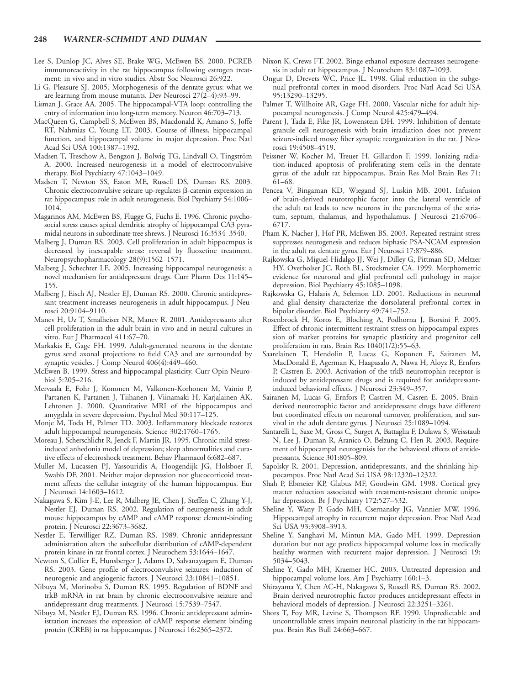- Lee S, Dunlop JC, Alves SE, Brake WG, McEwen BS. 2000. PCREB immunoreactivity in the rat hippocampus following estrogen treatment: in vivo and in vitro studies. Abstr Soc Neurosci 26:922.
- Li G, Pleasure SJ. 2005. Morphogenesis of the dentate gyrus: what we are learning from mouse mutants. Dev Neurosci 27(2–4):93–99.
- Lisman J, Grace AA. 2005. The hippocampal-VTA loop: controlling the entry of information into long-term memory. Neuron 46:703–713.
- MacQueen G, Campbell S, McEwen BS, Macdonald K, Amano S, Joffe RT, Nahmias C, Young LT. 2003. Course of illness, hippocampal function, and hippocampal volume in major depression. Proc Natl Acad Sci USA 100:1387–1392.
- Madsen T, Treschow A, Bengzon J, Bolwig TG, Lindvall O, Tingström A. 2000. Increased neurogenesis in a model of electroconvulsive therapy. Biol Psychiatry 47:1043–1049.
- Madsen T, Newton SS, Eaton ME, Russell DS, Duman RS. 2003. Chronic electroconvulsive seizure up-regulates  $\beta$ -catenin expression in rat hippocampus: role in adult neurogenesis. Biol Psychiatry 54:1006– 1014.
- Magarinos AM, McEwen BS, Flugge G, Fuchs E. 1996. Chronic psychosocial stress causes apical dendritic atrophy of hippocampal CA3 pyramidal neurons in subordinate tree shrews. J Neurosci 16:3534–3540.
- Malberg J, Duman RS. 2003. Cell proliferation in adult hippocmpus is decreased by inescapable stress: reversal by fluoxetine treatment. Neuropsychopharmacology 28(9):1562–1571.
- Malberg J, Schechter LE. 2005. Increasing hippocampal neurogenesis: a novel mechanism for antidepressant drugs. Curr Pharm Des 11:145– 155.
- Malberg J, Eisch AJ, Nestler EJ, Duman RS. 2000. Chronic antidepressant treatment increases neurogenesis in adult hippocampus. J Neurosci 20:9104–9110.
- Manev H, Uz T, Smalheiser NR, Manev R. 2001. Antidepressants alter cell proliferation in the adult brain in vivo and in neural cultures in vitro. Eur J Pharmacol 411:67–70.
- Markakis E, Gage FH. 1999. Adult-generated neurons in the dentate gyrus send axonal projections to field CA3 and are surrounded by synaptic vesicles. J Comp Neurol 406(4):449–460.
- McEwen B. 1999. Stress and hippocampal plasticity. Curr Opin Neurobiol 5:205–216.
- Mervaala E, Fohr J, Kononen M, Valkonen-Korhonen M, Vainio P, Partanen K, Partanen J, Tiihanen J, Viinamaki H, Karjalainen AK, Lehtonen J. 2000. Quantitative MRI of the hippocampus and amygdala in severe depression. Psychol Med 30:117–125.
- Monje M, Toda H, Palmer TD. 2003. Inflammatory blockade restores adult hippocampal neurogenesis. Science 302:1760–1765.
- Moreau J, Scherschlicht R, Jenck F, Martin JR. 1995. Chronic mild stressinduced anhedonia model of depression; sleep abnormalities and curative effects of electroshock treatment. Behav Pharmacol 6:682–687.
- Muller M, Lucassen PJ, Yassouridis A, Hoogendijk JG, Holsboer F, Swabb DF. 2001. Neither major depression nor glucocorticoid treatment affects the cellular integrity of the human hippocampus. Eur J Neurosci 14:1603–1612.
- Nakagawa S, Kim J-E, Lee R, Malberg JE, Chen J, Steffen C, Zhang Y-J, Nestler EJ, Duman RS. 2002. Regulation of neurogenesis in adult mouse hippocampus by cAMP and cAMP response element-binding protein. J Neurosci 22:3673–3682.
- Nestler E, Terwilliger RZ, Duman RS. 1989. Chronic antidepressant administration alters the subcellular distribution of cAMP-dependent protein kinase in rat frontal cortex. J Neurochem 53:1644–1647.
- Newton S, Collier E, Hunsberger J, Adams D, Salvanayagam E, Duman RS. 2003. Gene profile of electroconvulsive seizures: induction of neurogenic and angiogenic factors. J Neurosci 23:10841–10851.
- Nibuya M, Morinobu S, Duman RS. 1995. Regulation of BDNF and trkB mRNA in rat brain by chronic electroconvulsive seizure and antidepressant drug treatments. J Neurosci 15:7539–7547.
- Nibuya M, Nestler EJ, Duman RS. 1996. Chronic antidepressant administration increases the expression of cAMP response element binding protein (CREB) in rat hippocampus. J Neurosci 16:2365–2372.
- Nixon K, Crews FT. 2002. Binge ethanol exposure decreases neurogenesis in adult rat hippocampus. J Neurochem 83:1087–1093.
- Ongur D, Drevets WC, Price JL. 1998. Glial reduction in the subgenual prefrontal cortex in mood disorders. Proc Natl Acad Sci USA 95:13290–13295.
- Palmer T, Willhoite AR, Gage FH. 2000. Vascular niche for adult hippocampal neurogenesis. J Comp Neurol 425:479–494.
- Parent J, Tada E, Fike JR, Lowenstein DH. 1999. Inhibition of dentate granule cell neurogenesis with brain irradiation does not prevent seizure-indiced mossy fiber synaptic reorganization in the rat. J Neurosci 19:4508–4519.
- Peissner W, Kocher M, Treuer H, Gillardon F. 1999. Ionizing radiation-induced apoptosis of proliferating stem cells in the dentate gyrus of the adult rat hippocampus. Brain Res Mol Brain Res 71: 61–68.
- Pencea V, Bingaman KD, Wiegand SJ, Luskin MB. 2001. Infusion of brain-derived neurotrophic factor into the lateral ventricle of the adult rat leads to new neurons in the parenchyma of the striatum, septum, thalamus, and hypothalamus. J Neurosci 21:6706– 6717.
- Pham K, Nacher J, Hof PR, McEwen BS. 2003. Repeated restraint stress suppresses neurogenesis and reduces biphasic PSA-NCAM expression in the adult rat dentate gyrus. Eur J Neurosci 17:879–886.
- Rajkowska G, Miguel-Hidalgo JJ, Wei J, Dilley G, Pittman SD, Meltzer HY, Overholser JC, Roth BL, Stockmeier CA. 1999. Morphometric evidence for neuronal and glial prefrontal cell pathology in major depression. Biol Psychiatry 45:1085–1098.
- Rajkowska G, Halaris A, Selemon LD. 2001. Reductions in neuronal and glial density characterize the dorsolateral prefrontal cortex in bipolar disorder. Biol Psychiatry 49:741–752.
- Rosenbrock H, Koros E, Bloching A, Podhorna J, Borsini F. 2005. Effect of chronic intermittent restraint stress on hippocampal expression of marker proteins for synaptic plasticity and progenitor cell proliferation in rats. Brain Res 1040(1/2):55–63.
- Saarelainen T, Hendolin P, Lucas G, Koponen E, Sairanen M, MacDonald E, Agerman K, Haapasalo A, Nawa H, Aloyz R, Ernfors P, Castren E. 2003. Activation of the trkB neurotrophin receptor is induced by antidepressant drugs and is required for antidepressantinduced behavioral effects. J Neurosci 23:349–357.
- Sairanen M, Lucas G, Ernfors P, Castren M, Casren E. 2005. Brainderived neurotrophic factor and antidepressant drugs have different but coordinated effects on neuronal turnover, proliferation, and survival in the adult dentate gyrus. J Neurosci 25:1089–1094.
- Santarelli L, Saxe M, Gross C, Surget A, Battaglia F, Dulawa S, Weisstaub N, Lee J, Duman R, Aranico O, Belzung C, Hen R. 2003. Requirement of hippocampal neurogenisis for the behavioral effects of antidepressants. Science 301:805–809.
- Sapolsky R. 2001. Depression, antidepressants, and the shrinking hippocampus. Proc Natl Acad Sci USA 98:12320–12322.
- Shah P, Ebmeier KP, Glabus MF, Goodwin GM. 1998. Cortical grey matter reduction associated with treatment-resistant chronic unipolar depression. Br J Psychiatry 172:527–532.
- Sheline Y, Wany P, Gado MH, Csernansky JG, Vannier MW. 1996. Hippocampal atrophy in recurrent major depression. Proc Natl Acad Sci USA 93:3908–3913.
- Sheline Y, Sanghavi M, Mintun MA, Gado MH. 1999. Depression duration but not age predicts hippocampal volume loss in medically healthy wormen with recurrent major depression. J Neurosci 19: 5034–5043.
- Sheline Y, Gado MH, Kraemer HC. 2003. Untreated depression and hippocampal volume loss. Am J Psychiatry 160:1–3.
- Shirayama Y, Chen AC-H, Nakagawa S, Russell RS, Duman RS. 2002. Brain derived neurotrophic factor produces antidepressant effects in behavioral models of depression. J Neurosci 22:3251–3261.
- Shors T, Foy MR, Levine S, Thompson RF. 1990. Unpredictable and uncontrollable stress impairs neuronal plasticity in the rat hippocampus. Brain Res Bull 24:663–667.